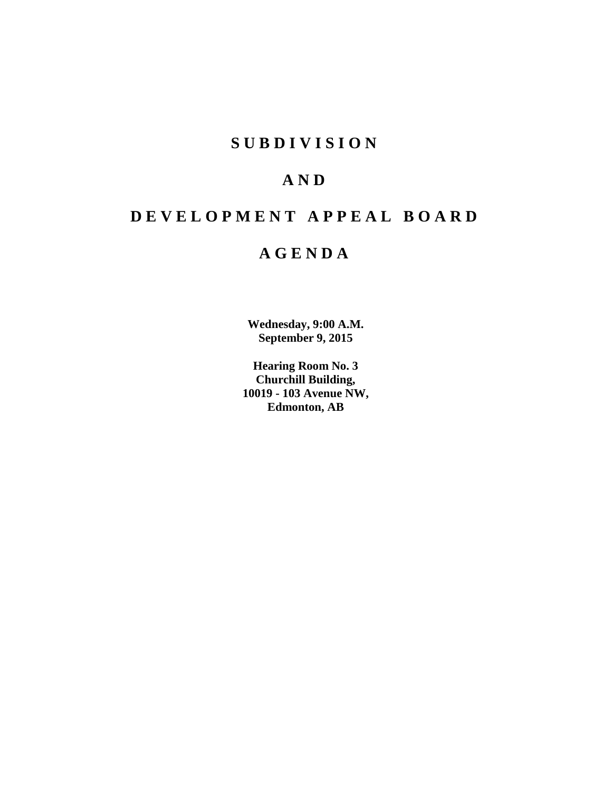# **SUBDIVISION**

# **AND**

# **DEVELOPMENT APPEAL BOARD**

# **AGENDA**

**Wednesday, 9:00 A.M. September 9, 2015**

**Hearing Room No. 3 Churchill Building, 10019 - 103 Avenue NW, Edmonton, AB**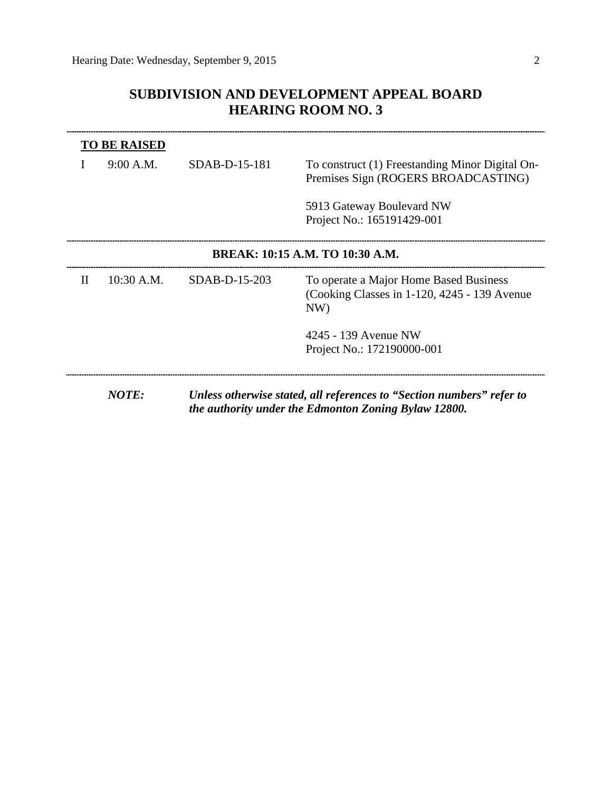## **SUBDIVISION AND DEVELOPMENT APPEAL BOARD HEARING ROOM NO. 3**

| <b>TO BE RAISED</b> |                                 |                 |                                                                                                                               |  |  |
|---------------------|---------------------------------|-----------------|-------------------------------------------------------------------------------------------------------------------------------|--|--|
|                     | 9:00 A.M.                       | $SDAB-D-15-181$ | To construct (1) Freestanding Minor Digital On-<br>Premises Sign (ROGERS BROADCASTING)                                        |  |  |
|                     |                                 |                 | 5913 Gateway Boulevard NW<br>Project No.: 165191429-001                                                                       |  |  |
|                     | BREAK: 10:15 A.M. TO 10:30 A.M. |                 |                                                                                                                               |  |  |
| $\mathbf{H}$        | 10:30 A.M.                      | SDAB-D-15-203   | To operate a Major Home Based Business<br>(Cooking Classes in 1-120, 4245 - 139 Avenue)<br>NW)                                |  |  |
|                     |                                 |                 | 4245 - 139 Avenue NW                                                                                                          |  |  |
|                     |                                 |                 | Project No.: 172190000-001                                                                                                    |  |  |
|                     | <b>NOTE:</b>                    |                 | Unless otherwise stated, all references to "Section numbers" refer to<br>the authority under the Edmonton Zoning Bylaw 12800. |  |  |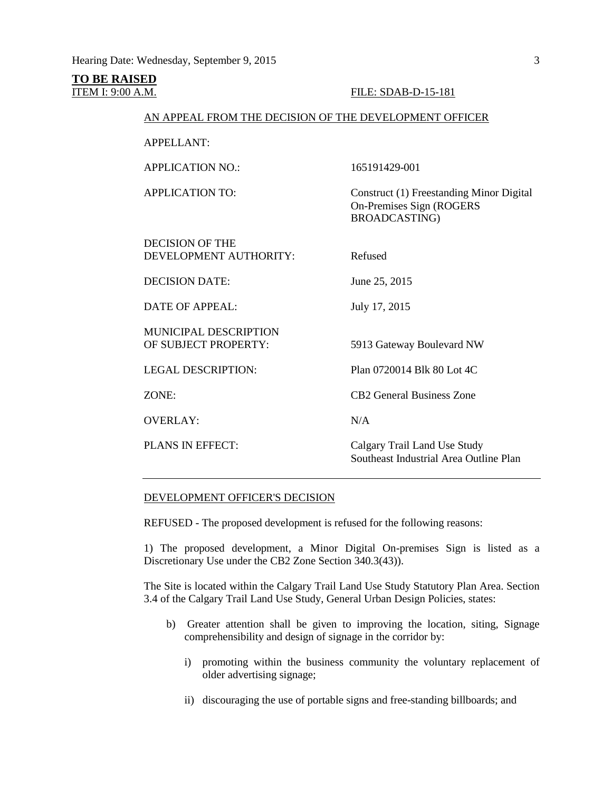**TO BE RAISED**

#### ITEM I: 9:00 A.M. FILE: SDAB-D-15-181

### AN APPEAL FROM THE DECISION OF THE DEVELOPMENT OFFICER

APPELLANT:

APPLICATION NO.: 165191429-001

APPLICATION TO: Construct (1) Freestanding Minor Digital On-Premises Sign (ROGERS BROADCASTING)

DECISION OF THE DEVELOPMENT AUTHORITY: Refused DECISION DATE: June 25, 2015 DATE OF APPEAL: July 17, 2015 MUNICIPAL DESCRIPTION OF SUBJECT PROPERTY: 5913 Gateway Boulevard NW LEGAL DESCRIPTION: Plan 0720014 Blk 80 Lot 4C ZONE: CB2 General Business Zone OVERLAY: N/A PLANS IN EFFECT: Calgary Trail Land Use Study Southeast Industrial Area Outline Plan

### DEVELOPMENT OFFICER'S DECISION

REFUSED - The proposed development is refused for the following reasons:

1) The proposed development, a Minor Digital On-premises Sign is listed as a Discretionary Use under the CB2 Zone Section 340.3(43)).

The Site is located within the Calgary Trail Land Use Study Statutory Plan Area. Section 3.4 of the Calgary Trail Land Use Study, General Urban Design Policies, states:

- b) Greater attention shall be given to improving the location, siting, Signage comprehensibility and design of signage in the corridor by:
	- i) promoting within the business community the voluntary replacement of older advertising signage;
	- ii) discouraging the use of portable signs and free-standing billboards; and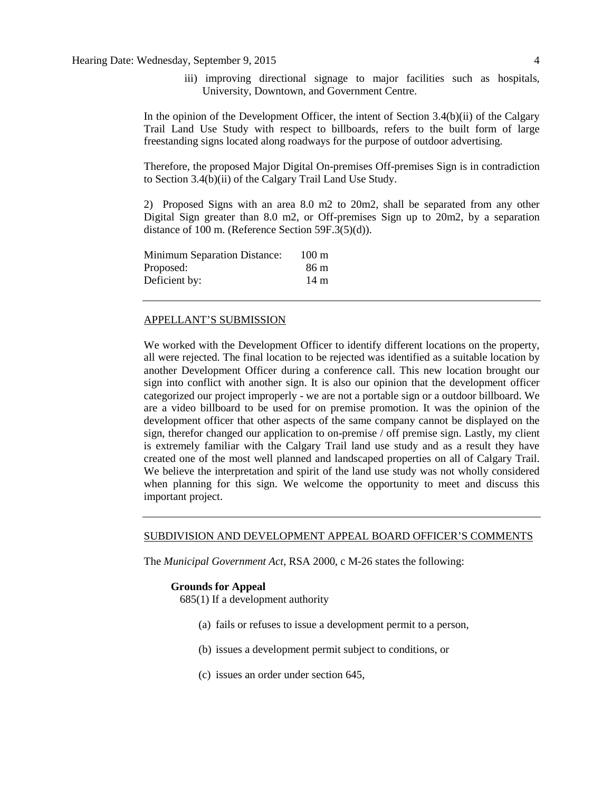iii) improving directional signage to major facilities such as hospitals, University, Downtown, and Government Centre.

In the opinion of the Development Officer, the intent of Section 3.4(b)(ii) of the Calgary Trail Land Use Study with respect to billboards, refers to the built form of large freestanding signs located along roadways for the purpose of outdoor advertising.

Therefore, the proposed Major Digital On-premises Off-premises Sign is in contradiction to Section 3.4(b)(ii) of the Calgary Trail Land Use Study.

2) Proposed Signs with an area 8.0 m2 to 20m2, shall be separated from any other Digital Sign greater than 8.0 m2, or Off-premises Sign up to 20m2, by a separation distance of 100 m. (Reference Section 59F.3(5)(d)).

| <b>Minimum Separation Distance:</b> | $100 \text{ m}$ |
|-------------------------------------|-----------------|
| Proposed:                           | 86 m            |
| Deficient by:                       | 14 m            |

#### APPELLANT'S SUBMISSION

We worked with the Development Officer to identify different locations on the property, all were rejected. The final location to be rejected was identified as a suitable location by another Development Officer during a conference call. This new location brought our sign into conflict with another sign. It is also our opinion that the development officer categorized our project improperly - we are not a portable sign or a outdoor billboard. We are a video billboard to be used for on premise promotion. It was the opinion of the development officer that other aspects of the same company cannot be displayed on the sign, therefor changed our application to on-premise / off premise sign. Lastly, my client is extremely familiar with the Calgary Trail land use study and as a result they have created one of the most well planned and landscaped properties on all of Calgary Trail. We believe the interpretation and spirit of the land use study was not wholly considered when planning for this sign. We welcome the opportunity to meet and discuss this important project.

#### SUBDIVISION AND DEVELOPMENT APPEAL BOARD OFFICER'S COMMENTS

The *Municipal Government Act*, RSA 2000, c M-26 states the following:

#### **Grounds for Appeal**

685(1) If a development authority

- (a) fails or refuses to issue a development permit to a person,
- (b) issues a development permit subject to conditions, or
- (c) issues an order under section 645,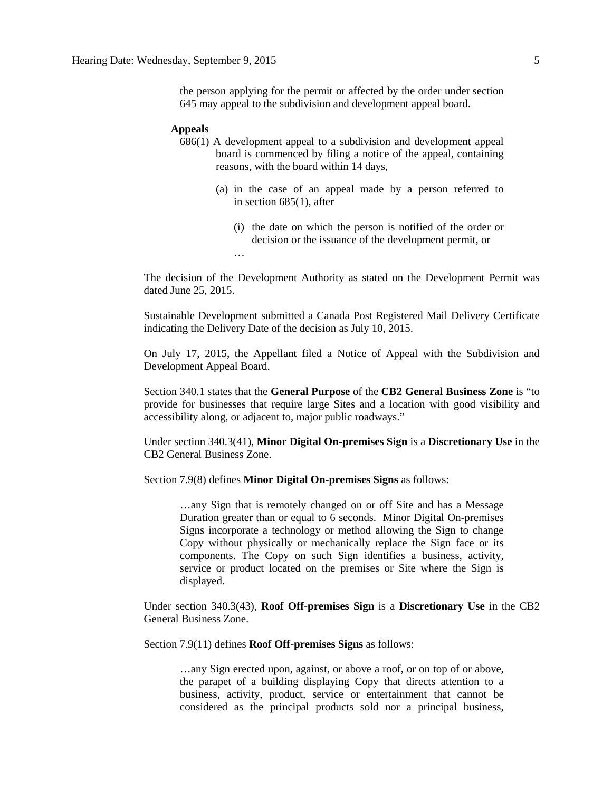the person applying for the permit or affected by the order under section 645 may appeal to the subdivision and development appeal board.

#### **Appeals**

- 686(1) A development appeal to a subdivision and development appeal board is commenced by filing a notice of the appeal, containing reasons, with the board within 14 days,
	- (a) in the case of an appeal made by a person referred to in section 685(1), after
		- (i) the date on which the person is notified of the order or decision or the issuance of the development permit, or …

The decision of the Development Authority as stated on the Development Permit was dated June 25, 2015.

Sustainable Development submitted a Canada Post Registered Mail Delivery Certificate indicating the Delivery Date of the decision as July 10, 2015.

On July 17, 2015, the Appellant filed a Notice of Appeal with the Subdivision and Development Appeal Board.

Section 340.1 states that the **General Purpose** of the **CB2 General Business Zone** is "to provide for businesses that require large Sites and a location with good visibility and accessibility along, or adjacent to, major public roadways."

Under section 340.3(41), **Minor Digital On-premises Sign** is a **Discretionary Use** in the CB2 General Business Zone.

Section 7.9(8) defines **Minor Digital On-premises Signs** as follows:

…any Sign that is remotely changed on or off Site and has a Message Duration greater than or equal to 6 seconds. Minor Digital On-premises Signs incorporate a technology or method allowing the Sign to change Copy without physically or mechanically replace the Sign face or its components. The Copy on such Sign identifies a business, activity, service or product located on the premises or Site where the Sign is displayed.

Under section 340.3(43), **Roof Off-premises Sign** is a **Discretionary Use** in the CB2 General Business Zone.

Section 7.9(11) defines **Roof Off-premises Signs** as follows:

…any Sign erected upon, against, or above a roof, or on top of or above, the parapet of a building displaying Copy that directs attention to a business, activity, product, service or entertainment that cannot be considered as the principal products sold nor a principal business,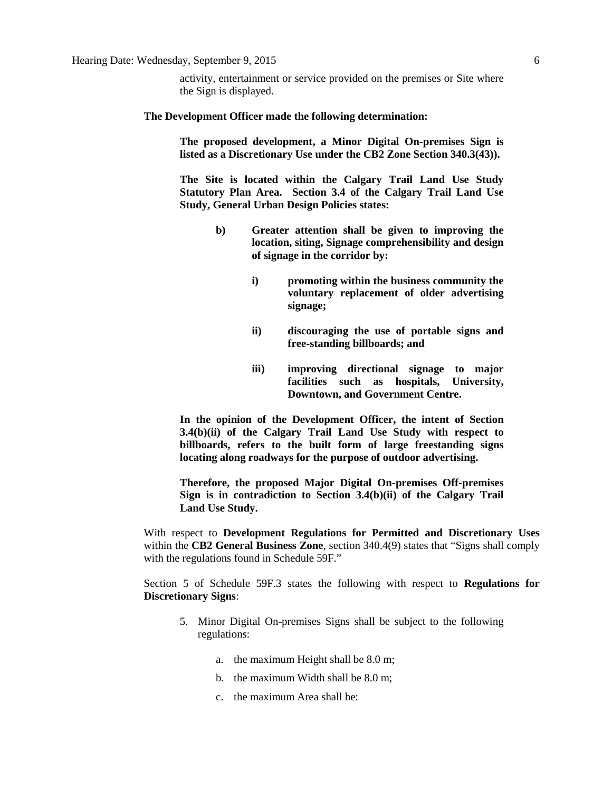activity, entertainment or service provided on the premises or Site where the Sign is displayed.

#### **The Development Officer made the following determination:**

**The proposed development, a Minor Digital On-premises Sign is listed as a Discretionary Use under the CB2 Zone Section 340.3(43)).**

**The Site is located within the Calgary Trail Land Use Study Statutory Plan Area. Section 3.4 of the Calgary Trail Land Use Study, General Urban Design Policies states:**

- **b) Greater attention shall be given to improving the location, siting, Signage comprehensibility and design of signage in the corridor by:**
	- **i) promoting within the business community the voluntary replacement of older advertising signage;**
	- **ii) discouraging the use of portable signs and free-standing billboards; and**
	- **iii) improving directional signage to major facilities such as hospitals, University, Downtown, and Government Centre.**

**In the opinion of the Development Officer, the intent of Section 3.4(b)(ii) of the Calgary Trail Land Use Study with respect to billboards, refers to the built form of large freestanding signs locating along roadways for the purpose of outdoor advertising.**

**Therefore, the proposed Major Digital On-premises Off-premises Sign is in contradiction to Section 3.4(b)(ii) of the Calgary Trail Land Use Study.**

With respect to **Development Regulations for Permitted and Discretionary Uses**  within the **CB2 General Business Zone**, section 340.4(9) states that "Signs shall comply with the regulations found in Schedule 59F."

Section 5 of Schedule 59F.3 states the following with respect to **Regulations for Discretionary Signs**:

- 5. Minor Digital On-premises Signs shall be subject to the following regulations:
	- a. the maximum Height shall be [8.0 m;](javascript:void(0);)
	- b. the maximum Width shall be [8.0 m;](javascript:void(0);)
	- c. the maximum Area shall be: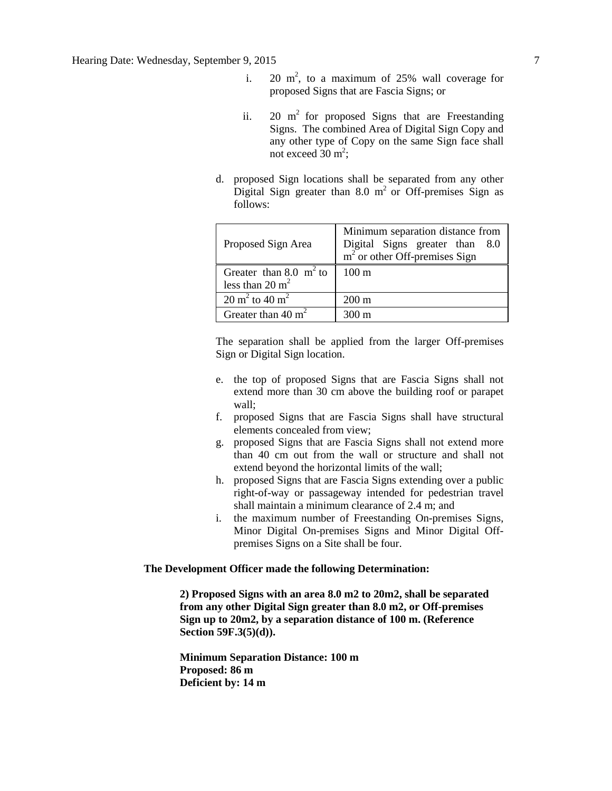- i. 20  $m^2$ , to a maximum of 25% wall coverage for proposed Signs that are Fascia Signs; or
- ii. 20  $m<sup>2</sup>$  for proposed Signs that are Freestanding Signs. The combined Area of Digital Sign Copy and any other type of Copy on the same Sign face shall not exceed  $30 \text{ m}^2$ ;
- d. proposed Sign locations shall be separated from any other Digital Sign greater than 8.0  $m<sup>2</sup>$  or Off-premises Sign as follows:

| Proposed Sign Area                                      | Minimum separation distance from<br>Digital Signs greater than 8.0<br>$m2$ or other Off-premises Sign |
|---------------------------------------------------------|-------------------------------------------------------------------------------------------------------|
| Greater than 8.0 $m^2$ to<br>less than $20 \text{ m}^2$ | $100 \text{ m}$                                                                                       |
| $20 \text{ m}^2$ to $40 \text{ m}^2$                    | $200 \text{ m}$                                                                                       |
| Greater than 40 $m2$                                    | $300 \; \mathrm{m}$                                                                                   |

The separation shall be applied from the larger Off-premises Sign or Digital Sign location.

- e. the top of proposed Signs that are Fascia Signs shall not extend more than 30 cm above the building roof or parapet wall;
- f. proposed Signs that are Fascia Signs shall have structural elements concealed from view;
- g. proposed Signs that are Fascia Signs shall not extend more than 40 cm out from the wall or structure and shall not extend beyond the horizontal limits of the wall;
- h. proposed Signs that are Fascia Signs extending over a public right-of-way or passageway intended for pedestrian travel shall maintain a minimum clearance of 2.4 m; and
- i. the maximum number of Freestanding On-premises Signs, Minor Digital On-premises Signs and Minor Digital Offpremises Signs on a Site shall be four.

### **The Development Officer made the following Determination:**

**2) Proposed Signs with an area 8.0 m2 to 20m2, shall be separated from any other Digital Sign greater than 8.0 m2, or Off-premises Sign up to 20m2, by a separation distance of 100 m. (Reference Section 59F.3(5)(d)).**

**Minimum Separation Distance: 100 m Proposed: 86 m Deficient by: 14 m**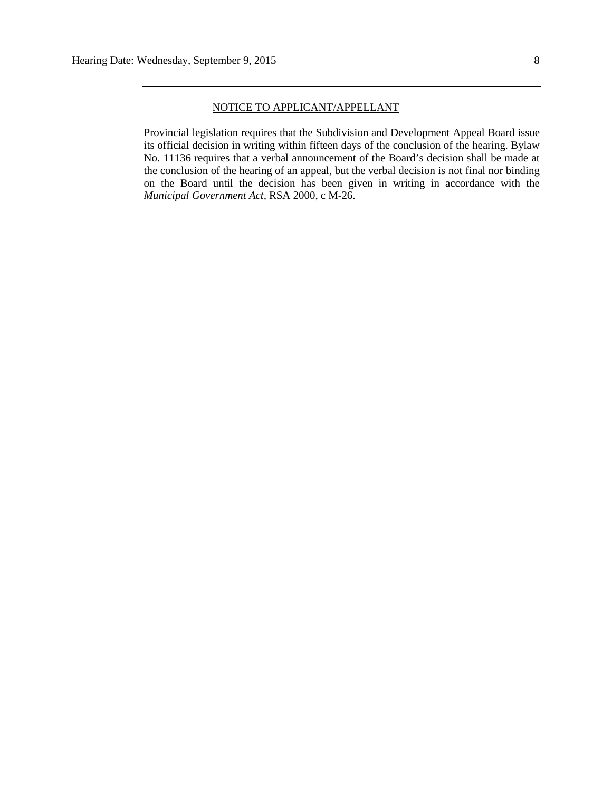#### NOTICE TO APPLICANT/APPELLANT

Provincial legislation requires that the Subdivision and Development Appeal Board issue its official decision in writing within fifteen days of the conclusion of the hearing. Bylaw No. 11136 requires that a verbal announcement of the Board's decision shall be made at the conclusion of the hearing of an appeal, but the verbal decision is not final nor binding on the Board until the decision has been given in writing in accordance with the *Municipal Government Act,* RSA 2000, c M-26.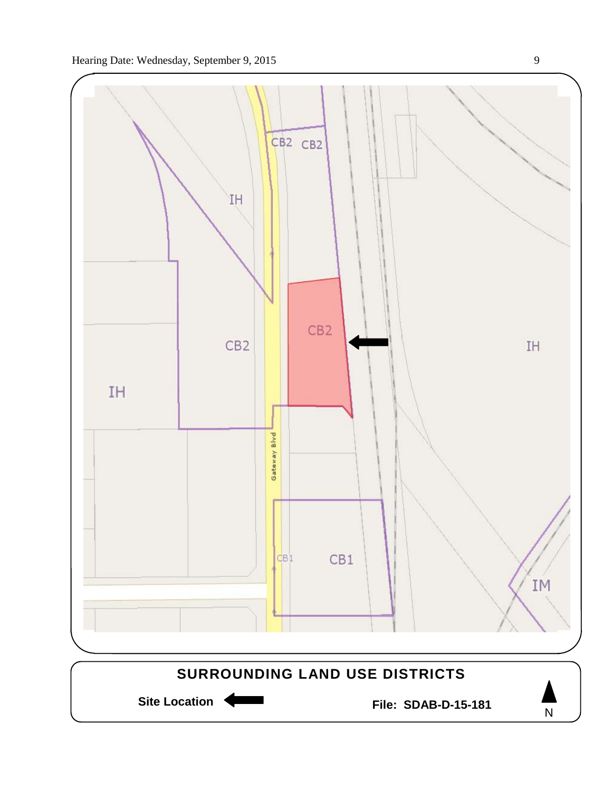

Site Location **Community Contracts** File: SDAB-D-15-181

N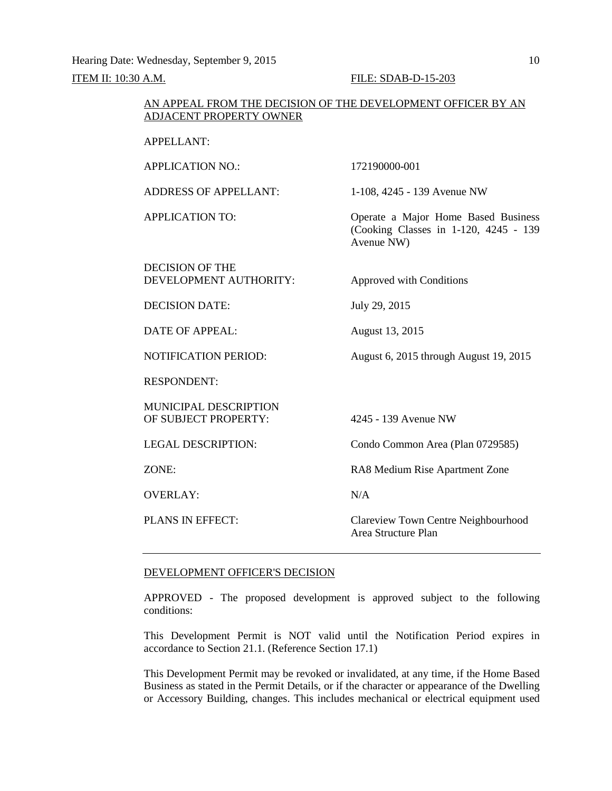Hearing Date: Wednesday, September 9, 2015 10

#### **ITEM II: 10:30 A.M. FILE: SDAB-D-15-203**

### AN APPEAL FROM THE DECISION OF THE DEVELOPMENT OFFICER BY AN ADJACENT PROPERTY OWNER

APPELLANT:

| <b>APPLICATION NO.:</b>                          | 172190000-001                                                                              |
|--------------------------------------------------|--------------------------------------------------------------------------------------------|
| <b>ADDRESS OF APPELLANT:</b>                     | 1-108, 4245 - 139 Avenue NW                                                                |
| <b>APPLICATION TO:</b>                           | Operate a Major Home Based Business<br>(Cooking Classes in 1-120, 4245 - 139<br>Avenue NW) |
| <b>DECISION OF THE</b><br>DEVELOPMENT AUTHORITY: | Approved with Conditions                                                                   |
| <b>DECISION DATE:</b>                            | July 29, 2015                                                                              |
| <b>DATE OF APPEAL:</b>                           | August 13, 2015                                                                            |
| <b>NOTIFICATION PERIOD:</b>                      | August 6, 2015 through August 19, 2015                                                     |
| <b>RESPONDENT:</b>                               |                                                                                            |
| MUNICIPAL DESCRIPTION<br>OF SUBJECT PROPERTY:    | 4245 - 139 Avenue NW                                                                       |
| <b>LEGAL DESCRIPTION:</b>                        | Condo Common Area (Plan 0729585)                                                           |
| ZONE:                                            | RA8 Medium Rise Apartment Zone                                                             |
| <b>OVERLAY:</b>                                  | N/A                                                                                        |
| PLANS IN EFFECT:                                 | Clareview Town Centre Neighbourhood<br>Area Structure Plan                                 |

#### DEVELOPMENT OFFICER'S DECISION

APPROVED - The proposed development is approved subject to the following conditions:

This Development Permit is NOT valid until the Notification Period expires in accordance to Section 21.1. (Reference Section 17.1)

This Development Permit may be revoked or invalidated, at any time, if the Home Based Business as stated in the Permit Details, or if the character or appearance of the Dwelling or Accessory Building, changes. This includes mechanical or electrical equipment used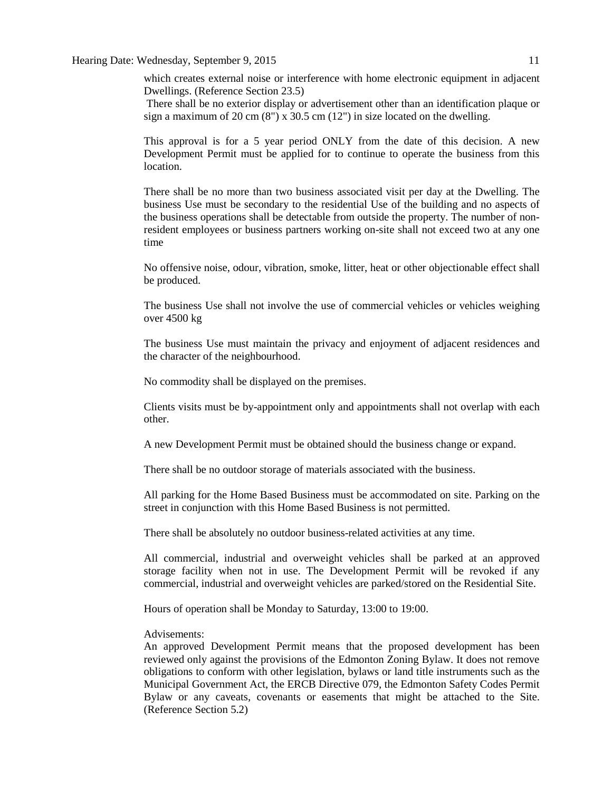which creates external noise or interference with home electronic equipment in adjacent Dwellings. (Reference Section 23.5)

There shall be no exterior display or advertisement other than an identification plaque or sign a maximum of 20 cm  $(8")$  x 30.5 cm  $(12")$  in size located on the dwelling.

This approval is for a 5 year period ONLY from the date of this decision. A new Development Permit must be applied for to continue to operate the business from this location.

There shall be no more than two business associated visit per day at the Dwelling. The business Use must be secondary to the residential Use of the building and no aspects of the business operations shall be detectable from outside the property. The number of nonresident employees or business partners working on-site shall not exceed two at any one time

No offensive noise, odour, vibration, smoke, litter, heat or other objectionable effect shall be produced.

The business Use shall not involve the use of commercial vehicles or vehicles weighing over 4500 kg

The business Use must maintain the privacy and enjoyment of adjacent residences and the character of the neighbourhood.

No commodity shall be displayed on the premises.

Clients visits must be by-appointment only and appointments shall not overlap with each other.

A new Development Permit must be obtained should the business change or expand.

There shall be no outdoor storage of materials associated with the business.

All parking for the Home Based Business must be accommodated on site. Parking on the street in conjunction with this Home Based Business is not permitted.

There shall be absolutely no outdoor business-related activities at any time.

All commercial, industrial and overweight vehicles shall be parked at an approved storage facility when not in use. The Development Permit will be revoked if any commercial, industrial and overweight vehicles are parked/stored on the Residential Site.

Hours of operation shall be Monday to Saturday, 13:00 to 19:00.

### Advisements:

An approved Development Permit means that the proposed development has been reviewed only against the provisions of the Edmonton Zoning Bylaw. It does not remove obligations to conform with other legislation, bylaws or land title instruments such as the Municipal Government Act, the ERCB Directive 079, the Edmonton Safety Codes Permit Bylaw or any caveats, covenants or easements that might be attached to the Site. (Reference Section 5.2)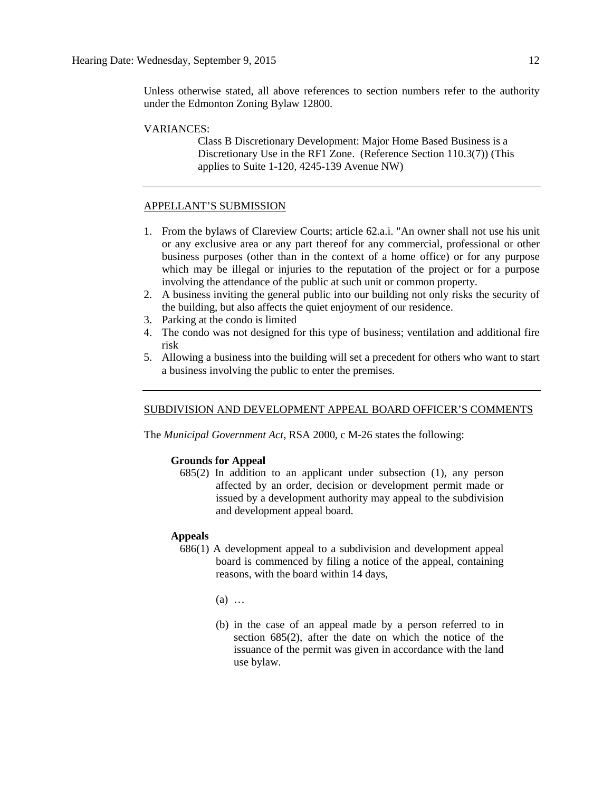Unless otherwise stated, all above references to section numbers refer to the authority under the Edmonton Zoning Bylaw 12800.

#### VARIANCES:

Class B Discretionary Development: Major Home Based Business is a Discretionary Use in the RF1 Zone. (Reference Section 110.3(7)) (This applies to Suite 1-120, 4245-139 Avenue NW)

#### APPELLANT'S SUBMISSION

- 1. From the bylaws of Clareview Courts; article 62.a.i. "An owner shall not use his unit or any exclusive area or any part thereof for any commercial, professional or other business purposes (other than in the context of a home office) or for any purpose which may be illegal or injuries to the reputation of the project or for a purpose involving the attendance of the public at such unit or common property.
- 2. A business inviting the general public into our building not only risks the security of the building, but also affects the quiet enjoyment of our residence.
- 3. Parking at the condo is limited
- 4. The condo was not designed for this type of business; ventilation and additional fire risk
- 5. Allowing a business into the building will set a precedent for others who want to start a business involving the public to enter the premises.

#### SUBDIVISION AND DEVELOPMENT APPEAL BOARD OFFICER'S COMMENTS

The *Municipal Government Act*, RSA 2000, c M-26 states the following:

### **Grounds for Appeal**

685(2) In addition to an applicant under subsection (1), any person affected by an order, decision or development permit made or issued by a development authority may appeal to the subdivision and development appeal board.

#### **Appeals**

- 686(1) A development appeal to a subdivision and development appeal board is commenced by filing a notice of the appeal, containing reasons, with the board within 14 days,
	- (a) …
	- (b) in the case of an appeal made by a person referred to in section 685(2), after the date on which the notice of the issuance of the permit was given in accordance with the land use bylaw.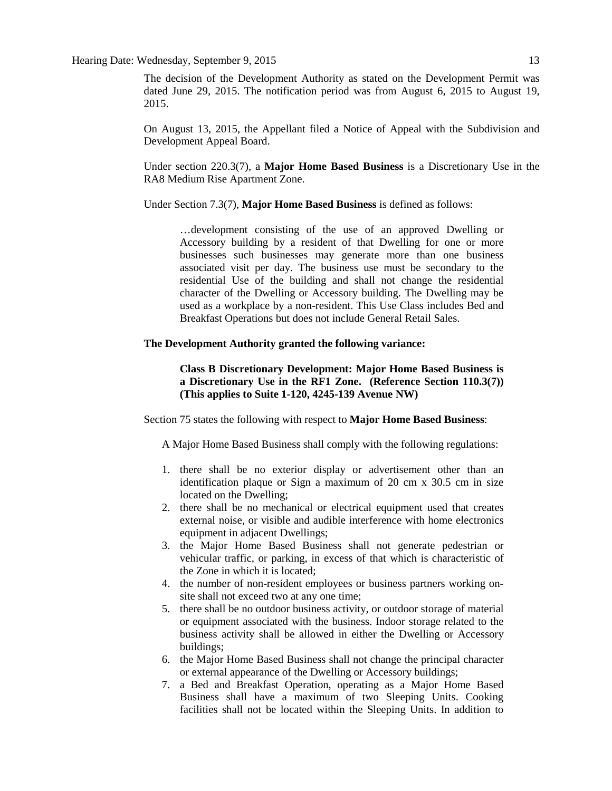The decision of the Development Authority as stated on the Development Permit was dated June 29, 2015. The notification period was from August 6, 2015 to August 19, 2015.

On August 13, 2015, the Appellant filed a Notice of Appeal with the Subdivision and Development Appeal Board.

Under section 220.3(7), a **Major Home Based Business** is a Discretionary Use in the RA8 Medium Rise Apartment Zone.

Under Section 7.3(7), **Major Home Based Business** is defined as follows:

…development consisting of the use of an approved Dwelling or Accessory building by a resident of that Dwelling for one or more businesses such businesses may generate more than one business associated visit per day. The business use must be secondary to the residential Use of the building and shall not change the residential character of the Dwelling or Accessory building. The Dwelling may be used as a workplace by a non-resident. This Use Class includes Bed and Breakfast Operations but does not include General Retail Sales.

#### **The Development Authority granted the following variance:**

**Class B Discretionary Development: Major Home Based Business is a Discretionary Use in the RF1 Zone. (Reference Section 110.3(7)) (This applies to Suite 1-120, 4245-139 Avenue NW)**

Section 75 states the following with respect to **[Major Home Based Business](javascript:void(0);)**:

A Major Home Based Business shall comply with the following regulations:

- 1. there shall be no exterior display or advertisement other than an identification plaque or Sign a maximum of 20 cm x 30.5 cm in size located on the Dwelling;
- 2. there shall be no mechanical or electrical equipment used that creates external noise, or visible and audible interference with home electronics equipment in adjacent Dwellings;
- 3. the Major Home Based Business shall not generate pedestrian or vehicular traffic, or parking, in excess of that which is characteristic of the Zone in which it is located;
- 4. the number of non-resident employees or business partners working onsite shall not exceed two at any one time;
- 5. there shall be no outdoor business activity, or outdoor storage of material or equipment associated with the business. Indoor storage related to the business activity shall be allowed in either the Dwelling or Accessory buildings;
- 6. the Major Home Based Business shall not change the principal character or external appearance of the Dwelling or Accessory buildings;
- 7. a Bed and Breakfast Operation, operating as a Major Home Based Business shall have a maximum of two Sleeping Units. Cooking facilities shall not be located within the Sleeping Units. In addition to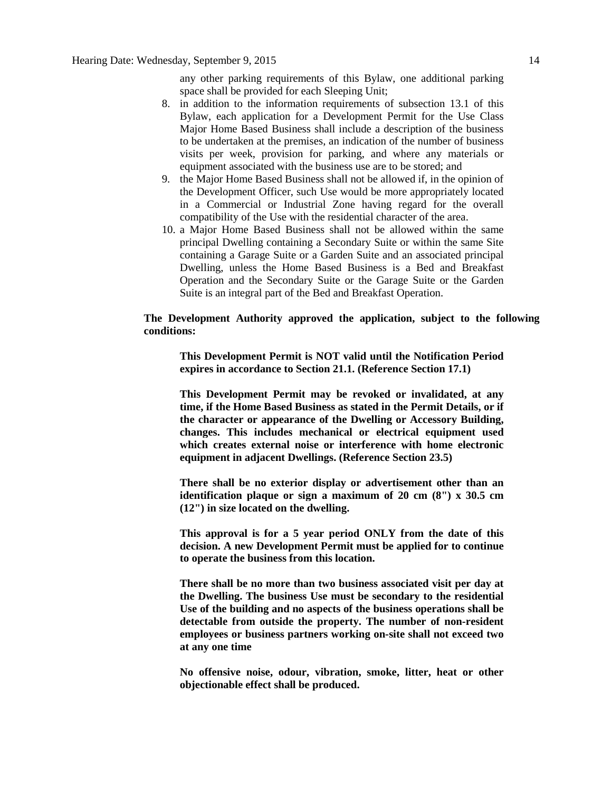any other parking requirements of this Bylaw, one additional parking space shall be provided for each Sleeping Unit;

- 8. in addition to the information requirements of subsection 13.1 of this Bylaw, each application for a Development Permit for the Use Class Major Home Based Business shall include a description of the business to be undertaken at the premises, an indication of the number of business visits per week, provision for parking, and where any materials or equipment associated with the business use are to be stored; and
- 9. the Major Home Based Business shall not be allowed if, in the opinion of the Development Officer, such Use would be more appropriately located in a Commercial or Industrial Zone having regard for the overall compatibility of the Use with the residential character of the area.
- 10. a Major Home Based Business shall not be allowed within the same principal Dwelling containing a Secondary Suite or within the same Site containing a Garage Suite or a Garden Suite and an associated principal Dwelling, unless the Home Based Business is a Bed and Breakfast Operation and the Secondary Suite or the Garage Suite or the Garden Suite is an integral part of the Bed and Breakfast Operation.

### **The Development Authority approved the application, subject to the following conditions:**

**This Development Permit is NOT valid until the Notification Period expires in accordance to Section 21.1. (Reference Section 17.1)**

**This Development Permit may be revoked or invalidated, at any time, if the Home Based Business as stated in the Permit Details, or if the character or appearance of the Dwelling or Accessory Building, changes. This includes mechanical or electrical equipment used which creates external noise or interference with home electronic equipment in adjacent Dwellings. (Reference Section 23.5)**

**There shall be no exterior display or advertisement other than an identification plaque or sign a maximum of 20 cm (8") x 30.5 cm (12") in size located on the dwelling.**

**This approval is for a 5 year period ONLY from the date of this decision. A new Development Permit must be applied for to continue to operate the business from this location.**

**There shall be no more than two business associated visit per day at the Dwelling. The business Use must be secondary to the residential Use of the building and no aspects of the business operations shall be detectable from outside the property. The number of non-resident employees or business partners working on-site shall not exceed two at any one time**

**No offensive noise, odour, vibration, smoke, litter, heat or other objectionable effect shall be produced.**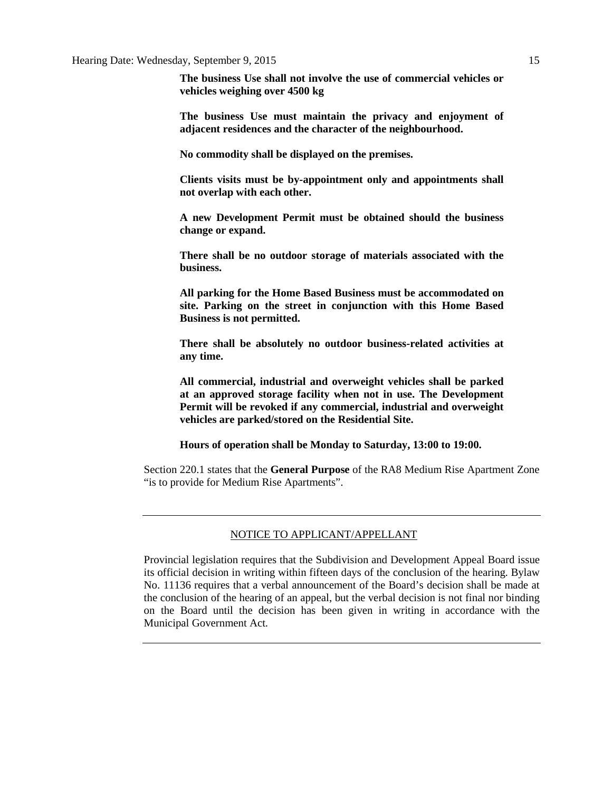**The business Use shall not involve the use of commercial vehicles or vehicles weighing over 4500 kg**

**The business Use must maintain the privacy and enjoyment of adjacent residences and the character of the neighbourhood.**

**No commodity shall be displayed on the premises.**

**Clients visits must be by-appointment only and appointments shall not overlap with each other.**

**A new Development Permit must be obtained should the business change or expand.**

**There shall be no outdoor storage of materials associated with the business.**

**All parking for the Home Based Business must be accommodated on site. Parking on the street in conjunction with this Home Based Business is not permitted.**

**There shall be absolutely no outdoor business-related activities at any time.**

**All commercial, industrial and overweight vehicles shall be parked at an approved storage facility when not in use. The Development Permit will be revoked if any commercial, industrial and overweight vehicles are parked/stored on the Residential Site.**

**Hours of operation shall be Monday to Saturday, 13:00 to 19:00.**

Section 220.1 states that the **General Purpose** of the RA8 Medium Rise Apartment Zone "is to provide for Medium Rise Apartments".

#### NOTICE TO APPLICANT/APPELLANT

Provincial legislation requires that the Subdivision and Development Appeal Board issue its official decision in writing within fifteen days of the conclusion of the hearing. Bylaw No. 11136 requires that a verbal announcement of the Board's decision shall be made at the conclusion of the hearing of an appeal, but the verbal decision is not final nor binding on the Board until the decision has been given in writing in accordance with the Municipal Government Act.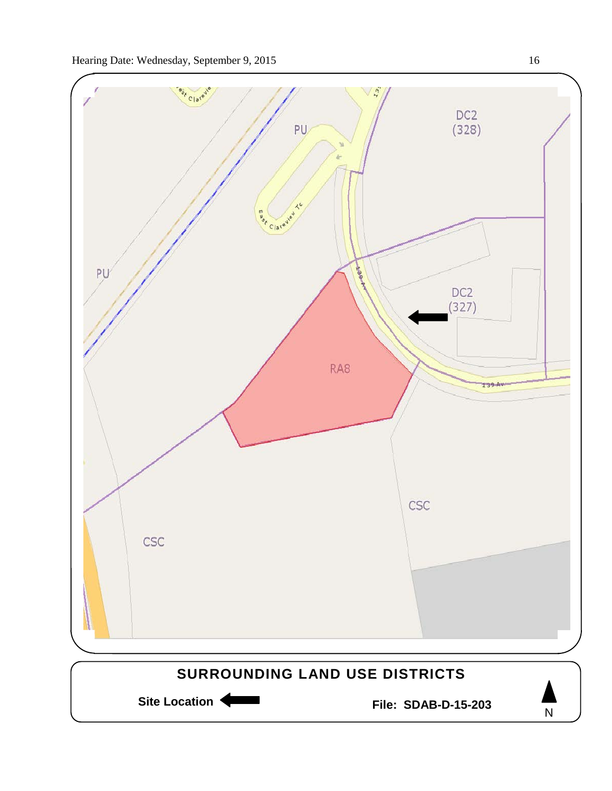